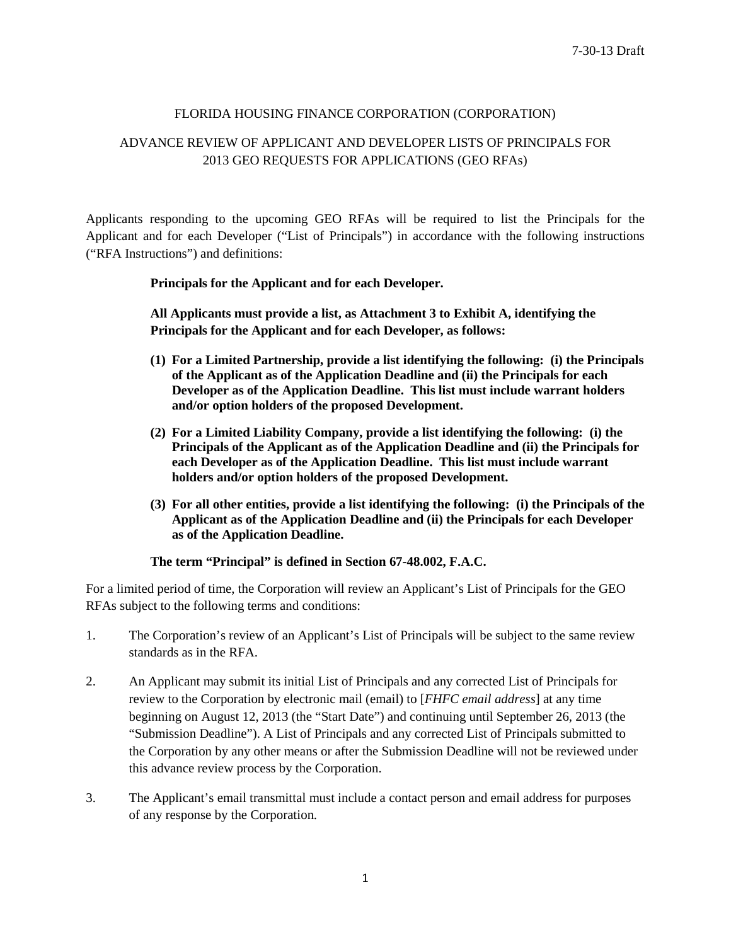## FLORIDA HOUSING FINANCE CORPORATION (CORPORATION)

# ADVANCE REVIEW OF APPLICANT AND DEVELOPER LISTS OF PRINCIPALS FOR 2013 GEO REQUESTS FOR APPLICATIONS (GEO RFAs)

Applicants responding to the upcoming GEO RFAs will be required to list the Principals for the Applicant and for each Developer ("List of Principals") in accordance with the following instructions ("RFA Instructions") and definitions:

## **Principals for the Applicant and for each Developer.**

**All Applicants must provide a list, as Attachment 3 to Exhibit A, identifying the Principals for the Applicant and for each Developer, as follows:**

- **(1) For a Limited Partnership, provide a list identifying the following: (i) the Principals of the Applicant as of the Application Deadline and (ii) the Principals for each Developer as of the Application Deadline. This list must include warrant holders and/or option holders of the proposed Development.**
- **(2) For a Limited Liability Company, provide a list identifying the following: (i) the Principals of the Applicant as of the Application Deadline and (ii) the Principals for each Developer as of the Application Deadline. This list must include warrant holders and/or option holders of the proposed Development.**
- **(3) For all other entities, provide a list identifying the following: (i) the Principals of the Applicant as of the Application Deadline and (ii) the Principals for each Developer as of the Application Deadline.**

## **The term "Principal" is defined in Section 67-48.002, F.A.C.**

For a limited period of time, the Corporation will review an Applicant's List of Principals for the GEO RFAs subject to the following terms and conditions:

- 1. The Corporation's review of an Applicant's List of Principals will be subject to the same review standards as in the RFA.
- 2. An Applicant may submit its initial List of Principals and any corrected List of Principals for review to the Corporation by electronic mail (email) to [*FHFC email address*] at any time beginning on August 12, 2013 (the "Start Date") and continuing until September 26, 2013 (the "Submission Deadline"). A List of Principals and any corrected List of Principals submitted to the Corporation by any other means or after the Submission Deadline will not be reviewed under this advance review process by the Corporation.
- 3. The Applicant's email transmittal must include a contact person and email address for purposes of any response by the Corporation.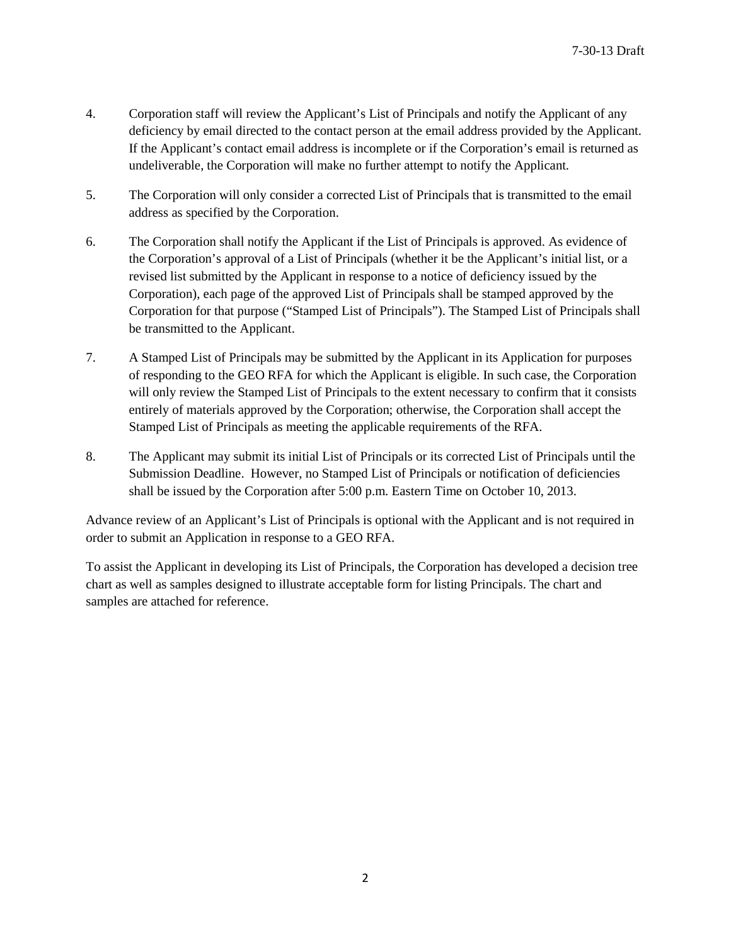- 4. Corporation staff will review the Applicant's List of Principals and notify the Applicant of any deficiency by email directed to the contact person at the email address provided by the Applicant. If the Applicant's contact email address is incomplete or if the Corporation's email is returned as undeliverable, the Corporation will make no further attempt to notify the Applicant.
- 5. The Corporation will only consider a corrected List of Principals that is transmitted to the email address as specified by the Corporation.
- 6. The Corporation shall notify the Applicant if the List of Principals is approved. As evidence of the Corporation's approval of a List of Principals (whether it be the Applicant's initial list, or a revised list submitted by the Applicant in response to a notice of deficiency issued by the Corporation), each page of the approved List of Principals shall be stamped approved by the Corporation for that purpose ("Stamped List of Principals"). The Stamped List of Principals shall be transmitted to the Applicant.
- 7. A Stamped List of Principals may be submitted by the Applicant in its Application for purposes of responding to the GEO RFA for which the Applicant is eligible. In such case, the Corporation will only review the Stamped List of Principals to the extent necessary to confirm that it consists entirely of materials approved by the Corporation; otherwise, the Corporation shall accept the Stamped List of Principals as meeting the applicable requirements of the RFA.
- 8. The Applicant may submit its initial List of Principals or its corrected List of Principals until the Submission Deadline. However, no Stamped List of Principals or notification of deficiencies shall be issued by the Corporation after 5:00 p.m. Eastern Time on October 10, 2013.

Advance review of an Applicant's List of Principals is optional with the Applicant and is not required in order to submit an Application in response to a GEO RFA.

To assist the Applicant in developing its List of Principals, the Corporation has developed a decision tree chart as well as samples designed to illustrate acceptable form for listing Principals. The chart and samples are attached for reference.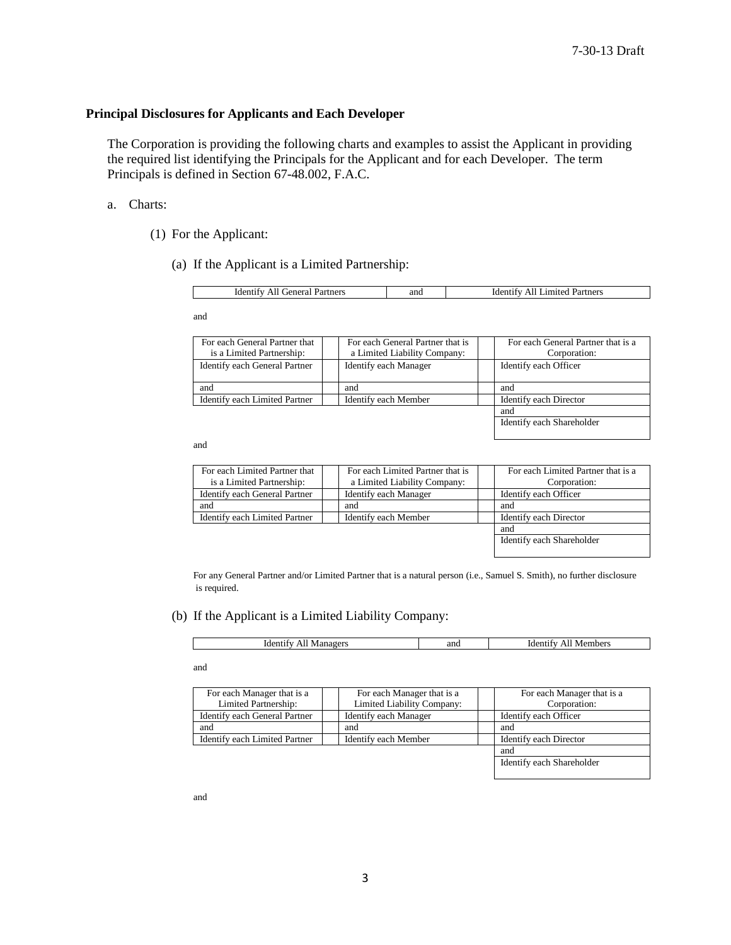Identify each Shareholder

### **Principal Disclosures for Applicants and Each Developer**

The Corporation is providing the following charts and examples to assist the Applicant in providing the required list identifying the Principals for the Applicant and for each Developer. The term Principals is defined in Section 67-48.002, F.A.C.

#### a. Charts:

- (1) For the Applicant:
	- (a) If the Applicant is a Limited Partnership:

| renera <sub>1</sub><br>Partners<br>Identi:<br>Ali | ano | <i>a</i> mited<br>Partners<br>Identii<br>411 |
|---------------------------------------------------|-----|----------------------------------------------|

and

| For each General Partner that | For each General Partner that is | For each General Partner that is a |
|-------------------------------|----------------------------------|------------------------------------|
| is a Limited Partnership:     | a Limited Liability Company:     | Corporation:                       |
| Identify each General Partner | Identify each Manager            | Identify each Officer              |
|                               |                                  |                                    |
| and                           | and                              | and                                |
| Identify each Limited Partner | Identify each Member             | Identify each Director             |
|                               |                                  | and                                |

and

| For each Limited Partner that<br>is a Limited Partnership: | For each Limited Partner that is<br>a Limited Liability Company: | For each Limited Partner that is a<br>Corporation: |
|------------------------------------------------------------|------------------------------------------------------------------|----------------------------------------------------|
| Identify each General Partner                              | <b>Identify each Manager</b>                                     | Identify each Officer                              |
| and                                                        | and                                                              | and                                                |
| Identify each Limited Partner                              | Identify each Member                                             | Identify each Director                             |
|                                                            |                                                                  | and                                                |
|                                                            |                                                                  | Identify each Shareholder                          |

For any General Partner and/or Limited Partner that is a natural person (i.e., Samuel S. Smith), no further disclosure is required.

#### (b) If the Applicant is a Limited Liability Company:

| Managers<br>Identify<br>АH | and | Members<br>Ident<br>tıtv<br>,,, |
|----------------------------|-----|---------------------------------|

and

| For each Manager that is a    | For each Manager that is a | For each Manager that is a |
|-------------------------------|----------------------------|----------------------------|
| Limited Partnership:          | Limited Liability Company: | Corporation:               |
| Identify each General Partner | Identify each Manager      | Identify each Officer      |
| and                           | and                        | and                        |
| Identify each Limited Partner | Identify each Member       | Identify each Director     |
|                               |                            | and                        |
|                               |                            | Identify each Shareholder  |

and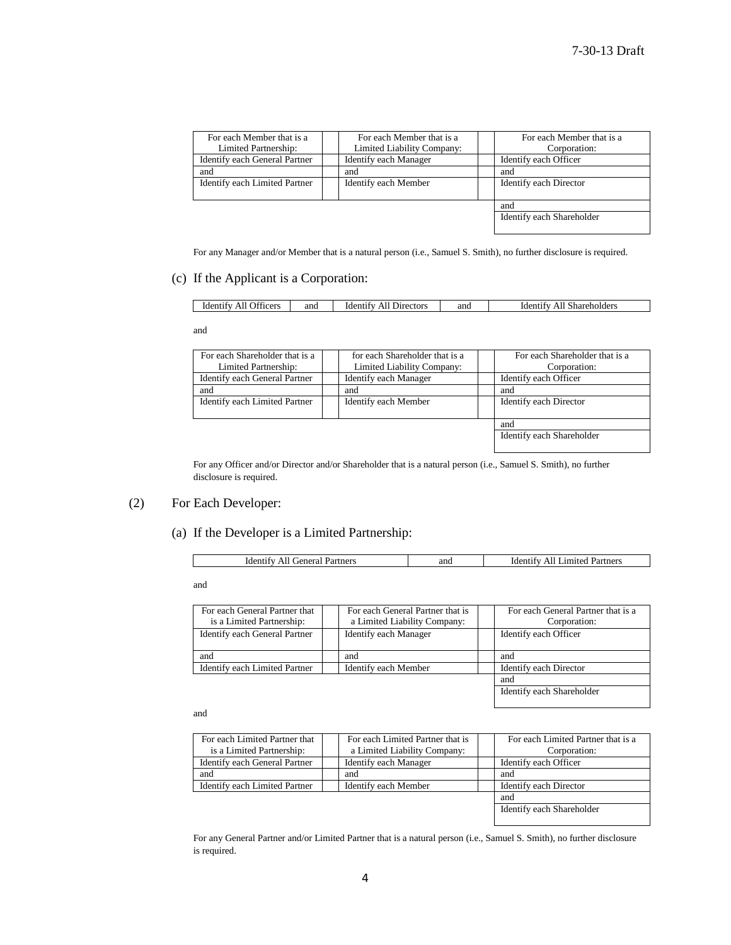| For each Member that is a     | For each Member that is a    | For each Member that is a |
|-------------------------------|------------------------------|---------------------------|
| Limited Partnership:          | Limited Liability Company:   | Corporation:              |
| Identify each General Partner | <b>Identify each Manager</b> | Identify each Officer     |
| and                           | and                          | and                       |
| Identify each Limited Partner | Identify each Member         | Identify each Director    |
|                               |                              | and                       |
|                               |                              | Identify each Shareholder |

For any Manager and/or Member that is a natural person (i.e., Samuel S. Smith), no further disclosure is required.

### (c) If the Applicant is a Corporation:

| $\sim$ 000 $\sim$<br><b>)</b> tticers<br>Identify<br>ΑH | and | ctors<br>Ident<br>Jirec<br>'tıtv<br>AH | and | 1der <sup>+</sup><br>Shareholder<br>-11 |
|---------------------------------------------------------|-----|----------------------------------------|-----|-----------------------------------------|
|---------------------------------------------------------|-----|----------------------------------------|-----|-----------------------------------------|

and

| For each Shareholder that is a | for each Shareholder that is a | For each Shareholder that is a |
|--------------------------------|--------------------------------|--------------------------------|
| Limited Partnership:           | Limited Liability Company:     | Corporation:                   |
| Identify each General Partner  | Identify each Manager          | Identify each Officer          |
| and                            | and                            | and                            |
| Identify each Limited Partner  | Identify each Member           | Identify each Director         |
|                                |                                | and                            |
|                                |                                | Identify each Shareholder      |

For any Officer and/or Director and/or Shareholder that is a natural person (i.e., Samuel S. Smith), no further disclosure is required.

### (2) For Each Developer:

# (a) If the Developer is a Limited Partnership:

| renera:<br>Partners<br><b>Identify</b><br>.<br>31 ZB | and<br>----- | ΑI<br>.1mited<br>tners<br>`f1†v<br>uder. |
|------------------------------------------------------|--------------|------------------------------------------|
|                                                      |              |                                          |

and

| For each General Partner that<br>is a Limited Partnership: | For each General Partner that is<br>a Limited Liability Company: | For each General Partner that is a<br>Corporation: |
|------------------------------------------------------------|------------------------------------------------------------------|----------------------------------------------------|
| Identify each General Partner                              | Identify each Manager                                            | Identify each Officer                              |
| and                                                        | and                                                              | and                                                |
| Identify each Limited Partner                              | Identify each Member                                             | Identify each Director                             |
|                                                            |                                                                  | and                                                |
|                                                            |                                                                  | Identify each Shareholder                          |

and

| For each Limited Partner that<br>is a Limited Partnership: | For each Limited Partner that is<br>a Limited Liability Company: | For each Limited Partner that is a<br>Corporation: |
|------------------------------------------------------------|------------------------------------------------------------------|----------------------------------------------------|
| Identify each General Partner                              | Identify each Manager                                            | Identify each Officer                              |
| and                                                        | and                                                              | and                                                |
| Identify each Limited Partner                              | Identify each Member                                             | Identify each Director                             |
|                                                            |                                                                  | and                                                |
|                                                            |                                                                  | Identify each Shareholder                          |
|                                                            |                                                                  |                                                    |

For any General Partner and/or Limited Partner that is a natural person (i.e., Samuel S. Smith), no further disclosure is required.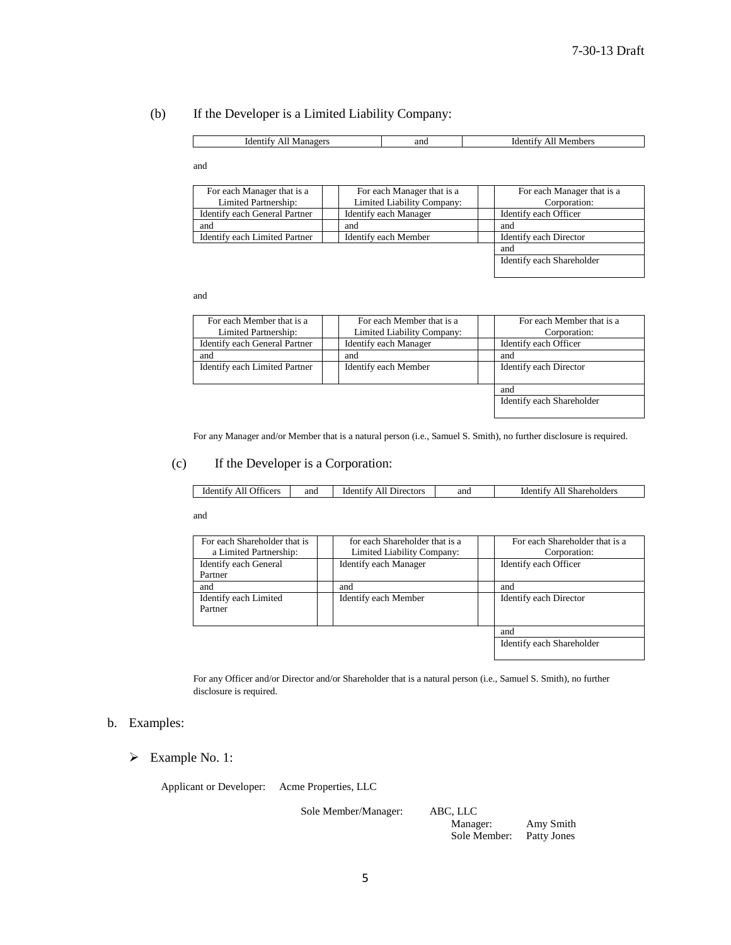# (b) If the Developer is a Limited Liability Company:

| Managers<br>Ident<br>AН | and | Members<br>ider<br>411 |
|-------------------------|-----|------------------------|

and

 $\mathcal{L}^{\text{max}}$ 

| For each Manager that is a    | For each Manager that is a | For each Manager that is a |  |
|-------------------------------|----------------------------|----------------------------|--|
| Limited Partnership:          | Limited Liability Company: | Corporation:               |  |
| Identify each General Partner | Identify each Manager      | Identify each Officer      |  |
| and                           | and                        | and                        |  |
| Identify each Limited Partner | Identify each Member       | Identify each Director     |  |
|                               |                            | and                        |  |
|                               |                            | Identify each Shareholder  |  |

and

| For each Member that is a                             | For each Member that is a    |  | For each Member that is a |  |
|-------------------------------------------------------|------------------------------|--|---------------------------|--|
| Limited Partnership:                                  | Limited Liability Company:   |  | Corporation:              |  |
| Identify each General Partner                         | <b>Identify each Manager</b> |  | Identify each Officer     |  |
| and                                                   | and                          |  | and                       |  |
| Identify each Limited Partner<br>Identify each Member |                              |  | Identify each Director    |  |
|                                                       |                              |  |                           |  |
|                                                       |                              |  | and                       |  |
|                                                       |                              |  | Identify each Shareholder |  |

For any Manager and/or Member that is a natural person (i.e., Samuel S. Smith), no further disclosure is required.

#### (c) If the Developer is a Corporation:

and

| For each Shareholder that is |  | for each Shareholder that is a |  | For each Shareholder that is a |  |
|------------------------------|--|--------------------------------|--|--------------------------------|--|
| a Limited Partnership:       |  | Limited Liability Company:     |  | Corporation:                   |  |
| Identify each General        |  | Identify each Manager          |  | Identify each Officer          |  |
| Partner                      |  |                                |  |                                |  |
| and                          |  | and                            |  | and                            |  |
| Identify each Limited        |  | Identify each Member           |  | Identify each Director         |  |
| Partner                      |  |                                |  |                                |  |
|                              |  |                                |  |                                |  |
|                              |  |                                |  | and                            |  |
|                              |  |                                |  | Identify each Shareholder      |  |

For any Officer and/or Director and/or Shareholder that is a natural person (i.e., Samuel S. Smith), no further disclosure is required.

#### b. Examples:

Example No. 1:

Applicant or Developer: Acme Properties, LLC

Sole Member/Manager: ABC, LLC

Amy Smith<br>Patty Jones Sole Member: